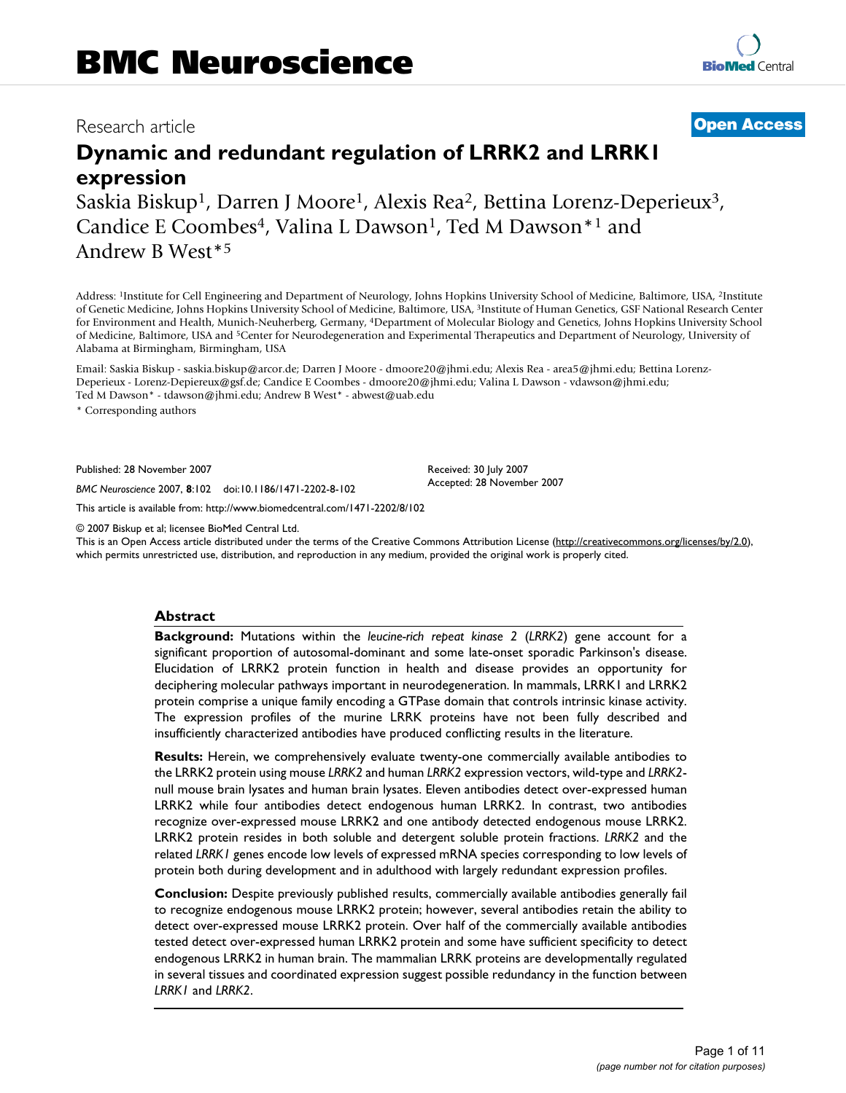# **Dynamic and redundant regulation of LRRK2 and LRRK1 expression**

Saskia Biskup<sup>1</sup>, Darren J Moore<sup>1</sup>, Alexis Rea<sup>2</sup>, Bettina Lorenz-Deperieux<sup>3</sup>, Candice E Coombes<sup>4</sup>, Valina L Dawson<sup>1</sup>, Ted M Dawson<sup>\*1</sup> and Andrew B West\*5

Address: 1Institute for Cell Engineering and Department of Neurology, Johns Hopkins University School of Medicine, Baltimore, USA, 2Institute of Genetic Medicine, Johns Hopkins University School of Medicine, Baltimore, USA, 3Institute of Human Genetics, GSF National Research Center for Environment and Health, Munich-Neuherberg, Germany, 4Department of Molecular Biology and Genetics, Johns Hopkins University School of Medicine, Baltimore, USA and 5Center for Neurodegeneration and Experimental Therapeutics and Department of Neurology, University of Alabama at Birmingham, Birmingham, USA

Email: Saskia Biskup - saskia.biskup@arcor.de; Darren J Moore - dmoore20@jhmi.edu; Alexis Rea - area5@jhmi.edu; Bettina Lorenz-Deperieux - Lorenz-Depiereux@gsf.de; Candice E Coombes - dmoore20@jhmi.edu; Valina L Dawson - vdawson@jhmi.edu; Ted M Dawson\* - tdawson@jhmi.edu; Andrew B West\* - abwest@uab.edu

\* Corresponding authors

Published: 28 November 2007

*BMC Neuroscience* 2007, **8**:102 doi:10.1186/1471-2202-8-102

[This article is available from: http://www.biomedcentral.com/1471-2202/8/102](http://www.biomedcentral.com/1471-2202/8/102)

© 2007 Biskup et al; licensee BioMed Central Ltd.

This is an Open Access article distributed under the terms of the Creative Commons Attribution License [\(http://creativecommons.org/licenses/by/2.0\)](http://creativecommons.org/licenses/by/2.0), which permits unrestricted use, distribution, and reproduction in any medium, provided the original work is properly cited.

### **Abstract**

**Background:** Mutations within the *leucine-rich repeat kinase 2* (*LRRK2*) gene account for a significant proportion of autosomal-dominant and some late-onset sporadic Parkinson's disease. Elucidation of LRRK2 protein function in health and disease provides an opportunity for deciphering molecular pathways important in neurodegeneration. In mammals, LRRK1 and LRRK2 protein comprise a unique family encoding a GTPase domain that controls intrinsic kinase activity. The expression profiles of the murine LRRK proteins have not been fully described and insufficiently characterized antibodies have produced conflicting results in the literature.

**Results:** Herein, we comprehensively evaluate twenty-one commercially available antibodies to the LRRK2 protein using mouse *LRRK2* and human *LRRK2* expression vectors, wild-type and *LRRK2* null mouse brain lysates and human brain lysates. Eleven antibodies detect over-expressed human LRRK2 while four antibodies detect endogenous human LRRK2. In contrast, two antibodies recognize over-expressed mouse LRRK2 and one antibody detected endogenous mouse LRRK2. LRRK2 protein resides in both soluble and detergent soluble protein fractions. *LRRK2* and the related *LRRK1* genes encode low levels of expressed mRNA species corresponding to low levels of protein both during development and in adulthood with largely redundant expression profiles.

**Conclusion:** Despite previously published results, commercially available antibodies generally fail to recognize endogenous mouse LRRK2 protein; however, several antibodies retain the ability to detect over-expressed mouse LRRK2 protein. Over half of the commercially available antibodies tested detect over-expressed human LRRK2 protein and some have sufficient specificity to detect endogenous LRRK2 in human brain. The mammalian LRRK proteins are developmentally regulated in several tissues and coordinated expression suggest possible redundancy in the function between *LRRK1* and *LRRK2*.

# Research article **[Open Access](http://www.biomedcentral.com/info/about/charter/)**

Received: 30 July 2007 Accepted: 28 November 2007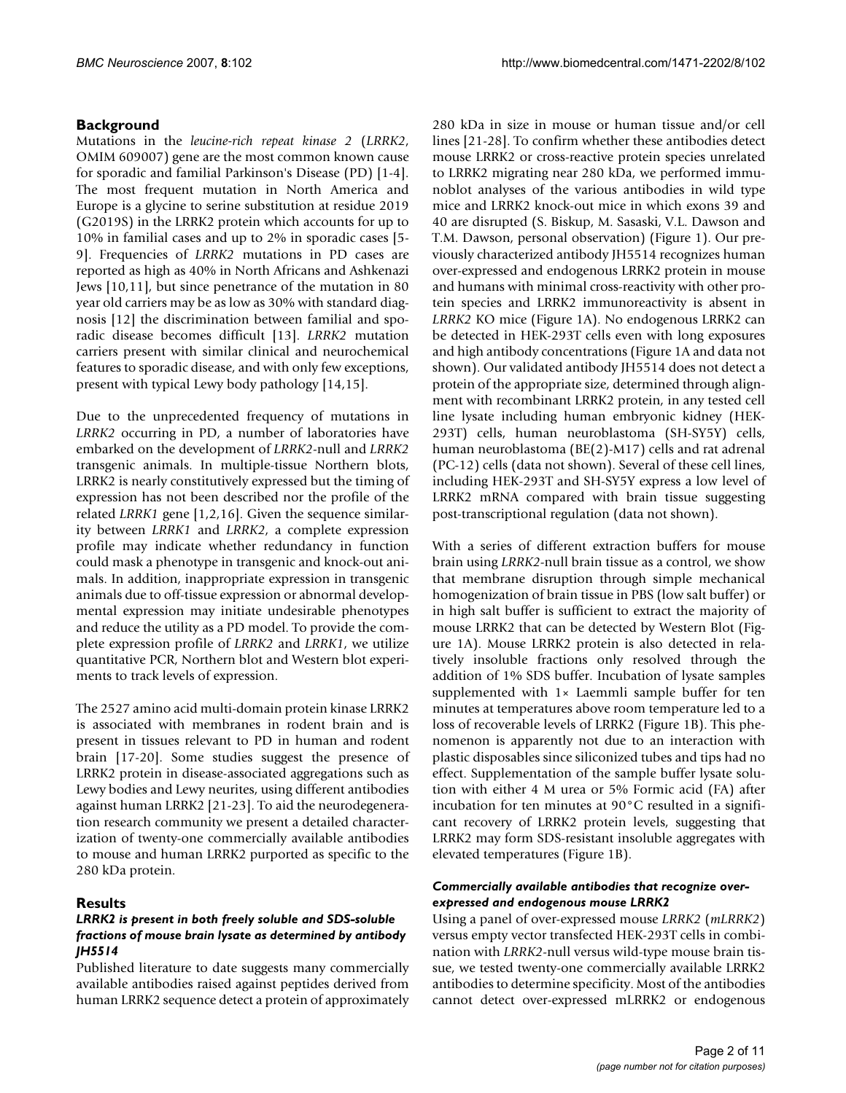# **Background**

Mutations in the *leucine-rich repeat kinase 2* (*LRRK2*, OMIM 609007) gene are the most common known cause for sporadic and familial Parkinson's Disease (PD) [1-4]. The most frequent mutation in North America and Europe is a glycine to serine substitution at residue 2019 (G2019S) in the LRRK2 protein which accounts for up to 10% in familial cases and up to 2% in sporadic cases [5- 9]. Frequencies of *LRRK2* mutations in PD cases are reported as high as 40% in North Africans and Ashkenazi Jews [10,11], but since penetrance of the mutation in 80 year old carriers may be as low as 30% with standard diagnosis [12] the discrimination between familial and sporadic disease becomes difficult [13]. *LRRK2* mutation carriers present with similar clinical and neurochemical features to sporadic disease, and with only few exceptions, present with typical Lewy body pathology [14,15].

Due to the unprecedented frequency of mutations in *LRRK2* occurring in PD, a number of laboratories have embarked on the development of *LRRK2*-null and *LRRK2* transgenic animals. In multiple-tissue Northern blots, LRRK2 is nearly constitutively expressed but the timing of expression has not been described nor the profile of the related *LRRK1* gene [1,2,16]. Given the sequence similarity between *LRRK1* and *LRRK2*, a complete expression profile may indicate whether redundancy in function could mask a phenotype in transgenic and knock-out animals. In addition, inappropriate expression in transgenic animals due to off-tissue expression or abnormal developmental expression may initiate undesirable phenotypes and reduce the utility as a PD model. To provide the complete expression profile of *LRRK2* and *LRRK1*, we utilize quantitative PCR, Northern blot and Western blot experiments to track levels of expression.

The 2527 amino acid multi-domain protein kinase LRRK2 is associated with membranes in rodent brain and is present in tissues relevant to PD in human and rodent brain [17-20]. Some studies suggest the presence of LRRK2 protein in disease-associated aggregations such as Lewy bodies and Lewy neurites, using different antibodies against human LRRK2 [21-23]. To aid the neurodegeneration research community we present a detailed characterization of twenty-one commercially available antibodies to mouse and human LRRK2 purported as specific to the 280 kDa protein.

# **Results**

# *LRRK2 is present in both freely soluble and SDS-soluble fractions of mouse brain lysate as determined by antibody JH5514*

Published literature to date suggests many commercially available antibodies raised against peptides derived from human LRRK2 sequence detect a protein of approximately 280 kDa in size in mouse or human tissue and/or cell lines [21-28]. To confirm whether these antibodies detect mouse LRRK2 or cross-reactive protein species unrelated to LRRK2 migrating near 280 kDa, we performed immunoblot analyses of the various antibodies in wild type mice and LRRK2 knock-out mice in which exons 39 and 40 are disrupted (S. Biskup, M. Sasaski, V.L. Dawson and T.M. Dawson, personal observation) (Figure 1). Our previously characterized antibody JH5514 recognizes human over-expressed and endogenous LRRK2 protein in mouse and humans with minimal cross-reactivity with other protein species and LRRK2 immunoreactivity is absent in *LRRK2* KO mice (Figure 1A). No endogenous LRRK2 can be detected in HEK-293T cells even with long exposures and high antibody concentrations (Figure 1A and data not shown). Our validated antibody JH5514 does not detect a protein of the appropriate size, determined through alignment with recombinant LRRK2 protein, in any tested cell line lysate including human embryonic kidney (HEK-293T) cells, human neuroblastoma (SH-SY5Y) cells, human neuroblastoma (BE(2)-M17) cells and rat adrenal (PC-12) cells (data not shown). Several of these cell lines, including HEK-293T and SH-SY5Y express a low level of LRRK2 mRNA compared with brain tissue suggesting post-transcriptional regulation (data not shown).

With a series of different extraction buffers for mouse brain using *LRRK2*-null brain tissue as a control, we show that membrane disruption through simple mechanical homogenization of brain tissue in PBS (low salt buffer) or in high salt buffer is sufficient to extract the majority of mouse LRRK2 that can be detected by Western Blot (Figure 1A). Mouse LRRK2 protein is also detected in relatively insoluble fractions only resolved through the addition of 1% SDS buffer. Incubation of lysate samples supplemented with 1× Laemmli sample buffer for ten minutes at temperatures above room temperature led to a loss of recoverable levels of LRRK2 (Figure 1B). This phenomenon is apparently not due to an interaction with plastic disposables since siliconized tubes and tips had no effect. Supplementation of the sample buffer lysate solution with either 4 M urea or 5% Formic acid (FA) after incubation for ten minutes at 90°C resulted in a significant recovery of LRRK2 protein levels, suggesting that LRRK2 may form SDS-resistant insoluble aggregates with elevated temperatures (Figure 1B).

# *Commercially available antibodies that recognize overexpressed and endogenous mouse LRRK2*

Using a panel of over-expressed mouse *LRRK2* (*mLRRK2*) versus empty vector transfected HEK-293T cells in combination with *LRRK2*-null versus wild-type mouse brain tissue, we tested twenty-one commercially available LRRK2 antibodies to determine specificity. Most of the antibodies cannot detect over-expressed mLRRK2 or endogenous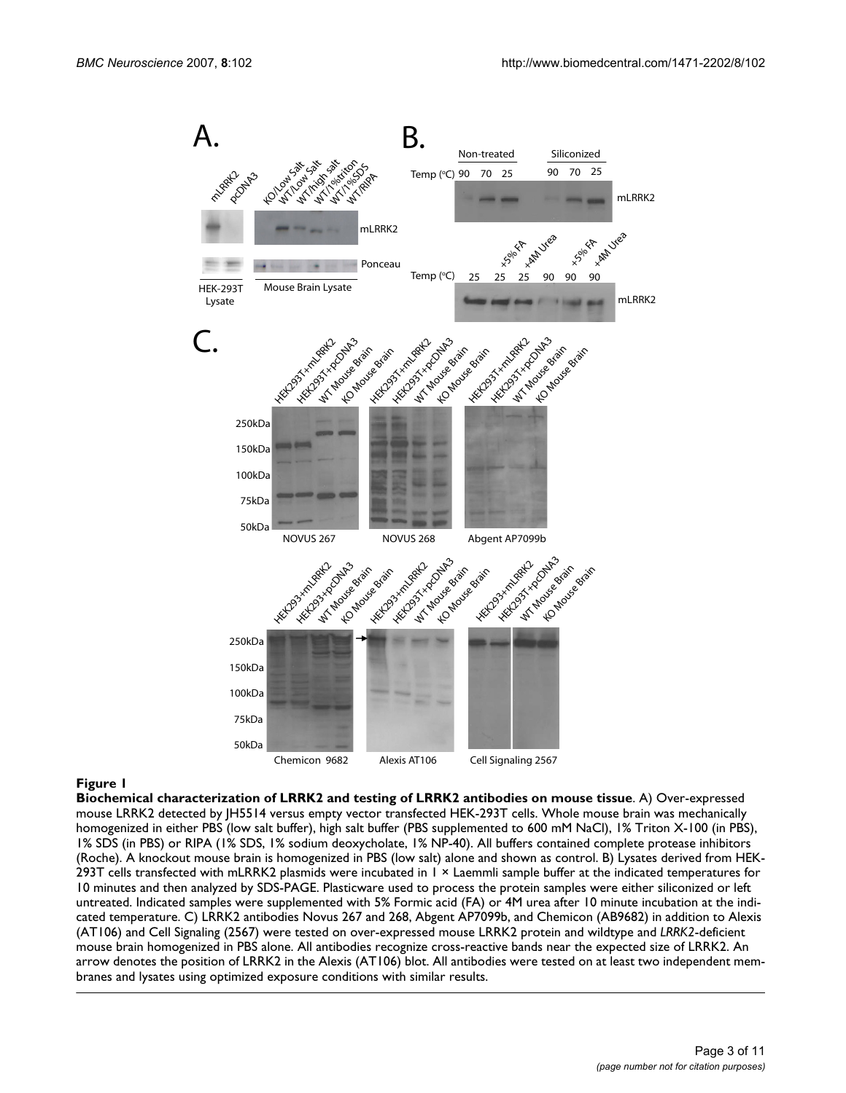

**Biochemical characterization of LRRK2 and testing of LRRK2 antibodies on mouse tissue**. A) Over-expressed mouse LRRK2 detected by JH5514 versus empty vector transfected HEK-293T cells. Whole mouse brain was mechanically homogenized in either PBS (low salt buffer), high salt buffer (PBS supplemented to 600 mM NaCl), 1% Triton X-100 (in PBS), 1% SDS (in PBS) or RIPA (1% SDS, 1% sodium deoxycholate, 1% NP-40). All buffers contained complete protease inhibitors (Roche). A knockout mouse brain is homogenized in PBS (low salt) alone and shown as control. B) Lysates derived from HEK-293T cells transfected with mLRRK2 plasmids were incubated in 1 × Laemmli sample buffer at the indicated temperatures for 10 minutes and then analyzed by SDS-PAGE. Plasticware used to process the protein samples were either siliconized or left untreated. Indicated samples were supplemented with 5% Formic acid (FA) or 4M urea after 10 minute incubation at the indicated temperature. C) LRRK2 antibodies Novus 267 and 268, Abgent AP7099b, and Chemicon (AB9682) in addition to Alexis (AT106) and Cell Signaling (2567) were tested on over-expressed mouse LRRK2 protein and wildtype and *LRRK2*-deficient mouse brain homogenized in PBS alone. All antibodies recognize cross-reactive bands near the expected size of LRRK2. An arrow denotes the position of LRRK2 in the Alexis (AT106) blot. All antibodies were tested on at least two independent membranes and lysates using optimized exposure conditions with similar results.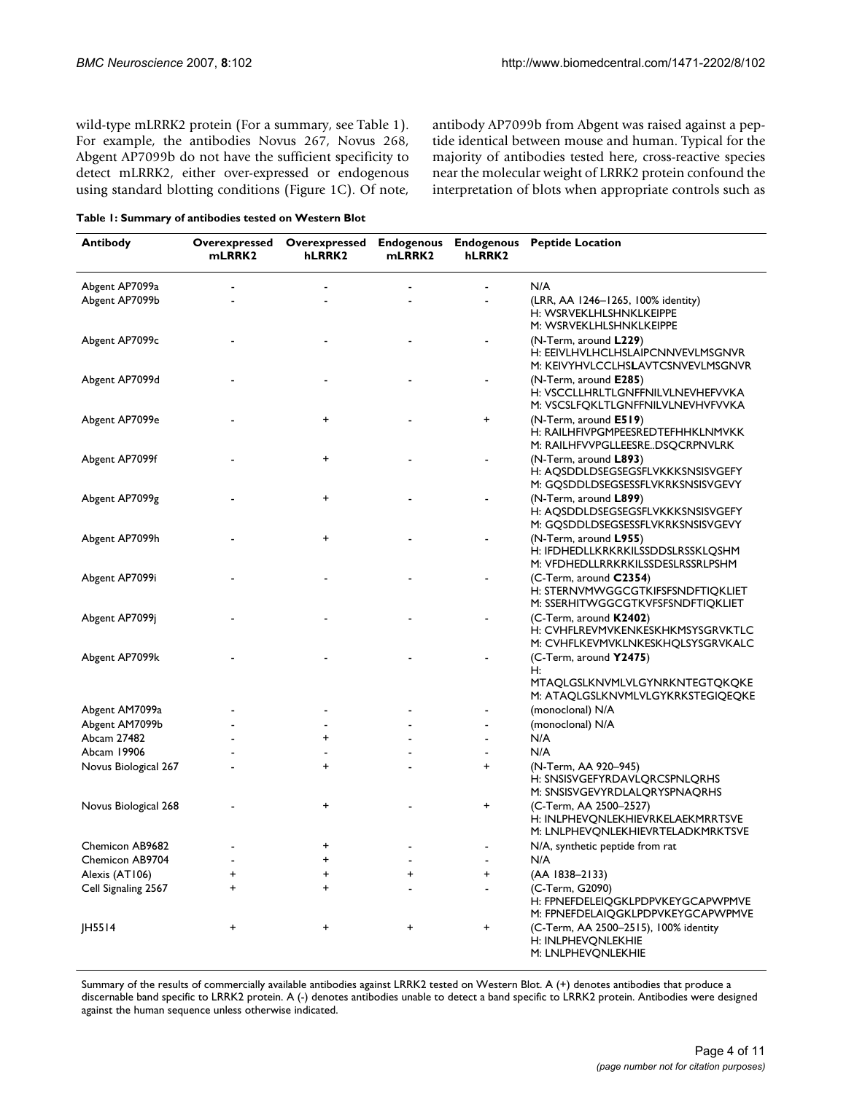wild-type mLRRK2 protein (For a summary, see Table 1). For example, the antibodies Novus 267, Novus 268, Abgent AP7099b do not have the sufficient specificity to detect mLRRK2, either over-expressed or endogenous using standard blotting conditions (Figure 1C). Of note,

|  |  |  |  | Table 1: Summary of antibodies tested on Western Blot |
|--|--|--|--|-------------------------------------------------------|
|--|--|--|--|-------------------------------------------------------|

antibody AP7099b from Abgent was raised against a peptide identical between mouse and human. Typical for the majority of antibodies tested here, cross-reactive species near the molecular weight of LRRK2 protein confound the interpretation of blots when appropriate controls such as

| <b>Antibody</b>      | mLRRK2 | hLRRK2    | mLRRK2    | hLRRK2         | Overexpressed Overexpressed Endogenous Endogenous Peptide Location                                      |
|----------------------|--------|-----------|-----------|----------------|---------------------------------------------------------------------------------------------------------|
| Abgent AP7099a       |        |           |           |                | N/A                                                                                                     |
| Abgent AP7099b       |        |           |           |                | (LRR, AA 1246-1265, 100% identity)<br>H: WSRVEKLHLSHNKLKEIPPE<br>M: WSRVEKLHLSHNKLKEIPPE                |
| Abgent AP7099c       |        |           |           |                | (N-Term, around L229)<br>H: EEIVLHVLHCLHSLAIPCNNVEVLMSGNVR<br>M: KEIVYHVLCCLHSLAVTCSNVEVLMSGNVR         |
| Abgent AP7099d       |        |           |           |                | (N-Term, around <b>E285</b> )<br>H: VSCCLLHRLTLGNFFNILVLNEVHEFVVKA<br>M: VSCSLFOKLTLGNFFNILVLNEVHVFVVKA |
| Abgent AP7099e       |        | +         |           | +              | $(N$ -Term, around $E519$ )<br>H: RAILHFIVPGMPEESREDTEFHHKLNMVKK<br>M: RAILHFVVPGLLEESREDSQCRPNVLRK     |
| Abgent AP7099f       |        | +         |           |                | (N-Term, around L893)<br>H: AQSDDLDSEGSEGSFLVKKKSNSISVGEFY<br>M: GQSDDLDSEGSESSFLVKRKSNSISVGEVY         |
| Abgent AP7099g       |        | +         |           | $\blacksquare$ | $(N$ -Term, around $L899$ )<br>H: AQSDDLDSEGSEGSFLVKKKSNSISVGEFY<br>M: GQSDDLDSEGSESSFLVKRKSNSISVGEVY   |
| Abgent AP7099h       |        | $\ddot{}$ |           |                | (N-Term, around L955)<br>H: IFDHEDLLKRKRKILSSDDSLRSSKLQSHM<br>M: VFDHEDLLRRKRKILSSDESLRSSRLPSHM         |
| Abgent AP7099i       |        |           |           |                | (C-Term, around C2354)<br>H: STERNVMWGGCGTKIFSFSNDFTIQKLIET<br>M: SSERHITWGGCGTKVFSFSNDFTIQKLIET        |
| Abgent AP7099j       |        |           |           |                | (C-Term, around K2402)<br>H: CVHFLREVMVKENKESKHKMSYSGRVKTLC<br>M: CVHFLKEVMVKLNKESKHQLSYSGRVKALC        |
| Abgent AP7099k       |        |           |           |                | (C-Term, around Y2475)<br>Н:<br>MTAQLGSLKNVMLVLGYNRKNTEGTQKQKE<br>M: ATAQLGSLKNVMLVLGYKRKSTEGIQEQKE     |
| Abgent AM7099a       |        |           |           |                | (monoclonal) N/A                                                                                        |
| Abgent AM7099b       |        |           |           |                | (monoclonal) N/A                                                                                        |
| Abcam 27482          |        | +         |           |                | N/A                                                                                                     |
| Abcam 19906          |        |           |           |                | N/A                                                                                                     |
| Novus Biological 267 |        | $\ddot{}$ |           | +              | (N-Term, AA 920-945)<br>H: SNSISVGEFYRDAVLQRCSPNLQRHS<br>M: SNSISVGEVYRDLALQRYSPNAQRHS                  |
| Novus Biological 268 |        | $\ddot{}$ |           | +              | (C-Term, AA 2500-2527)<br>H: INLPHEVQNLEKHIEVRKELAEKMRRTSVE<br>M: LNLPHEVQNLEKHIEVRTELADKMRKTSVE        |
| Chemicon AB9682      |        | +         |           |                | N/A, synthetic peptide from rat                                                                         |
| Chemicon AB9704      |        | +         |           |                | N/A                                                                                                     |
| Alexis (AT106)       | +      | +         | $\ddot{}$ | +              | (AA 1838-2133)                                                                                          |
| Cell Signaling 2567  | +      | $\ddot{}$ |           |                | (C-Term, G2090)<br>H: FPNEFDELEIQGKLPDPVKEYGCAPWPMVE<br>M: FPNEFDELAIQGKLPDPVKEYGCAPWPMVE               |
| JH5514               | +      | +         | +         | $\pmb{+}$      | (C-Term, AA 2500-2515), 100% identity<br>H: INLPHEVQNLEKHIE<br>M: LNLPHEVQNLEKHIE                       |

Summary of the results of commercially available antibodies against LRRK2 tested on Western Blot. A (+) denotes antibodies that produce a discernable band specific to LRRK2 protein. A (-) denotes antibodies unable to detect a band specific to LRRK2 protein. Antibodies were designed against the human sequence unless otherwise indicated.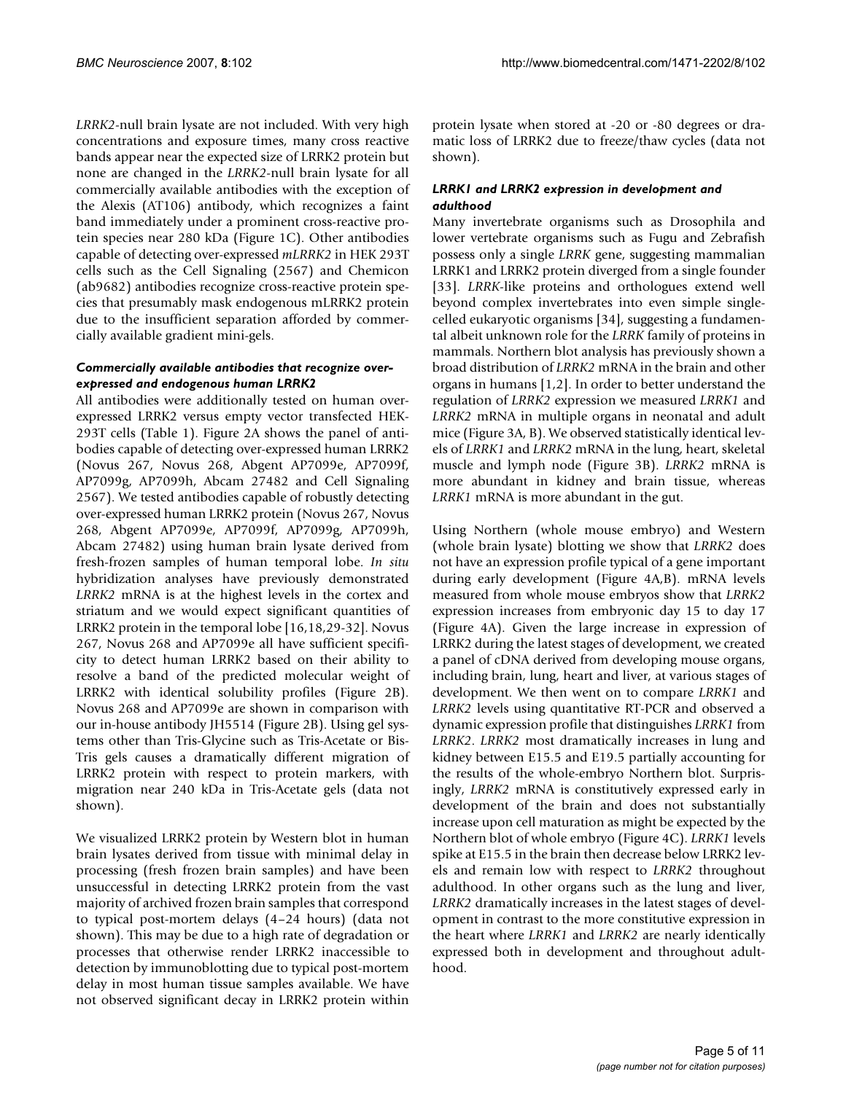*LRRK2*-null brain lysate are not included. With very high concentrations and exposure times, many cross reactive bands appear near the expected size of LRRK2 protein but none are changed in the *LRRK2*-null brain lysate for all commercially available antibodies with the exception of the Alexis (AT106) antibody, which recognizes a faint band immediately under a prominent cross-reactive protein species near 280 kDa (Figure 1C). Other antibodies capable of detecting over-expressed *mLRRK2* in HEK 293T cells such as the Cell Signaling (2567) and Chemicon (ab9682) antibodies recognize cross-reactive protein species that presumably mask endogenous mLRRK2 protein due to the insufficient separation afforded by commercially available gradient mini-gels.

# *Commercially available antibodies that recognize overexpressed and endogenous human LRRK2*

All antibodies were additionally tested on human overexpressed LRRK2 versus empty vector transfected HEK-293T cells (Table 1). Figure 2A shows the panel of antibodies capable of detecting over-expressed human LRRK2 (Novus 267, Novus 268, Abgent AP7099e, AP7099f, AP7099g, AP7099h, Abcam 27482 and Cell Signaling 2567). We tested antibodies capable of robustly detecting over-expressed human LRRK2 protein (Novus 267, Novus 268, Abgent AP7099e, AP7099f, AP7099g, AP7099h, Abcam 27482) using human brain lysate derived from fresh-frozen samples of human temporal lobe. *In situ* hybridization analyses have previously demonstrated *LRRK2* mRNA is at the highest levels in the cortex and striatum and we would expect significant quantities of LRRK2 protein in the temporal lobe [16,18,29-32]. Novus 267, Novus 268 and AP7099e all have sufficient specificity to detect human LRRK2 based on their ability to resolve a band of the predicted molecular weight of LRRK2 with identical solubility profiles (Figure 2B). Novus 268 and AP7099e are shown in comparison with our in-house antibody JH5514 (Figure 2B). Using gel systems other than Tris-Glycine such as Tris-Acetate or Bis-Tris gels causes a dramatically different migration of LRRK2 protein with respect to protein markers, with migration near 240 kDa in Tris-Acetate gels (data not shown).

We visualized LRRK2 protein by Western blot in human brain lysates derived from tissue with minimal delay in processing (fresh frozen brain samples) and have been unsuccessful in detecting LRRK2 protein from the vast majority of archived frozen brain samples that correspond to typical post-mortem delays (4–24 hours) (data not shown). This may be due to a high rate of degradation or processes that otherwise render LRRK2 inaccessible to detection by immunoblotting due to typical post-mortem delay in most human tissue samples available. We have not observed significant decay in LRRK2 protein within

protein lysate when stored at -20 or -80 degrees or dramatic loss of LRRK2 due to freeze/thaw cycles (data not shown).

# *LRRK1 and LRRK2 expression in development and adulthood*

Many invertebrate organisms such as Drosophila and lower vertebrate organisms such as Fugu and Zebrafish possess only a single *LRRK* gene, suggesting mammalian LRRK1 and LRRK2 protein diverged from a single founder [33]. *LRRK*-like proteins and orthologues extend well beyond complex invertebrates into even simple singlecelled eukaryotic organisms [34], suggesting a fundamental albeit unknown role for the *LRRK* family of proteins in mammals. Northern blot analysis has previously shown a broad distribution of *LRRK2* mRNA in the brain and other organs in humans [1,2]. In order to better understand the regulation of *LRRK2* expression we measured *LRRK1* and *LRRK2* mRNA in multiple organs in neonatal and adult mice (Figure 3A, B). We observed statistically identical levels of *LRRK1* and *LRRK2* mRNA in the lung, heart, skeletal muscle and lymph node (Figure 3B). *LRRK2* mRNA is more abundant in kidney and brain tissue, whereas *LRRK1* mRNA is more abundant in the gut.

Using Northern (whole mouse embryo) and Western (whole brain lysate) blotting we show that *LRRK2* does not have an expression profile typical of a gene important during early development (Figure 4A,B). mRNA levels measured from whole mouse embryos show that *LRRK2* expression increases from embryonic day 15 to day 17 (Figure 4A). Given the large increase in expression of LRRK2 during the latest stages of development, we created a panel of cDNA derived from developing mouse organs, including brain, lung, heart and liver, at various stages of development. We then went on to compare *LRRK1* and *LRRK2* levels using quantitative RT-PCR and observed a dynamic expression profile that distinguishes *LRRK1* from *LRRK2*. *LRRK2* most dramatically increases in lung and kidney between E15.5 and E19.5 partially accounting for the results of the whole-embryo Northern blot. Surprisingly, *LRRK2* mRNA is constitutively expressed early in development of the brain and does not substantially increase upon cell maturation as might be expected by the Northern blot of whole embryo (Figure 4C). *LRRK1* levels spike at E15.5 in the brain then decrease below LRRK2 levels and remain low with respect to *LRRK2* throughout adulthood. In other organs such as the lung and liver, *LRRK2* dramatically increases in the latest stages of development in contrast to the more constitutive expression in the heart where *LRRK1* and *LRRK2* are nearly identically expressed both in development and throughout adulthood.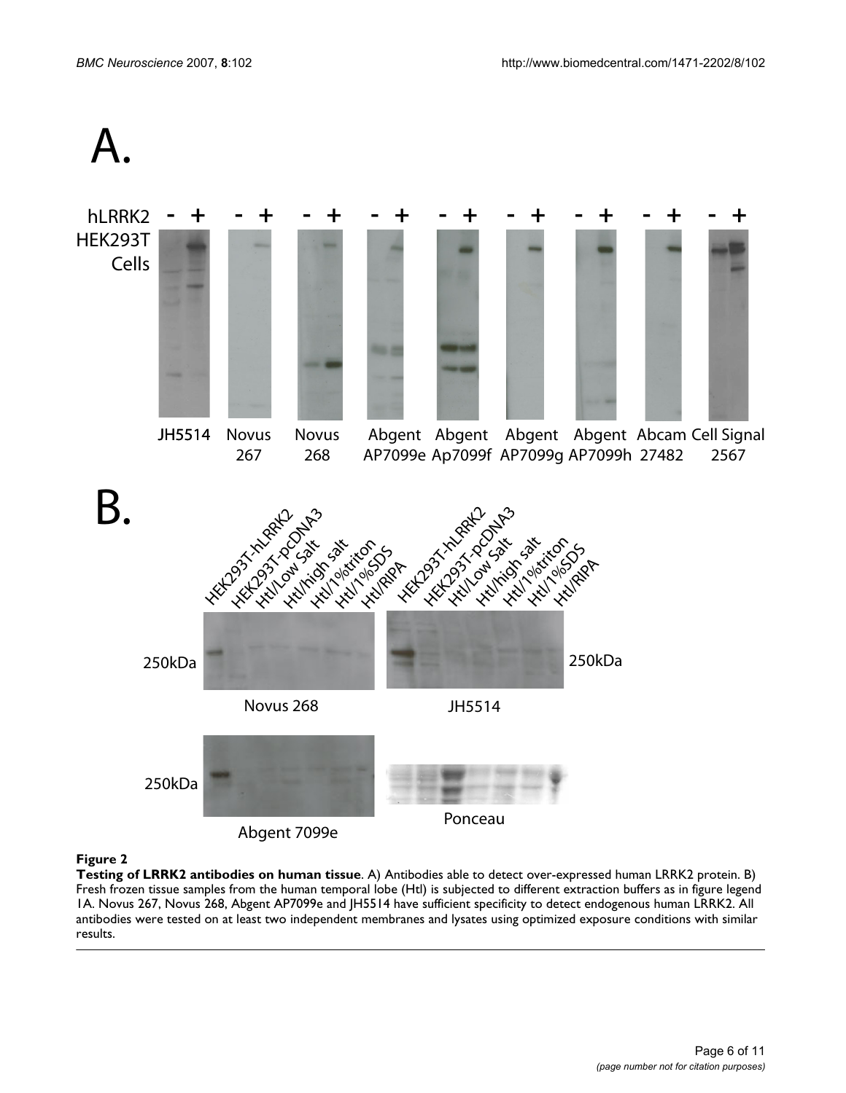



# Figure 2

**Testing of LRRK2 antibodies on human tissue**. A) Antibodies able to detect over-expressed human LRRK2 protein. B) Fresh frozen tissue samples from the human temporal lobe (Htl) is subjected to different extraction buffers as in figure legend 1A. Novus 267, Novus 268, Abgent AP7099e and JH5514 have sufficient specificity to detect endogenous human LRRK2. All antibodies were tested on at least two independent membranes and lysates using optimized exposure conditions with similar results.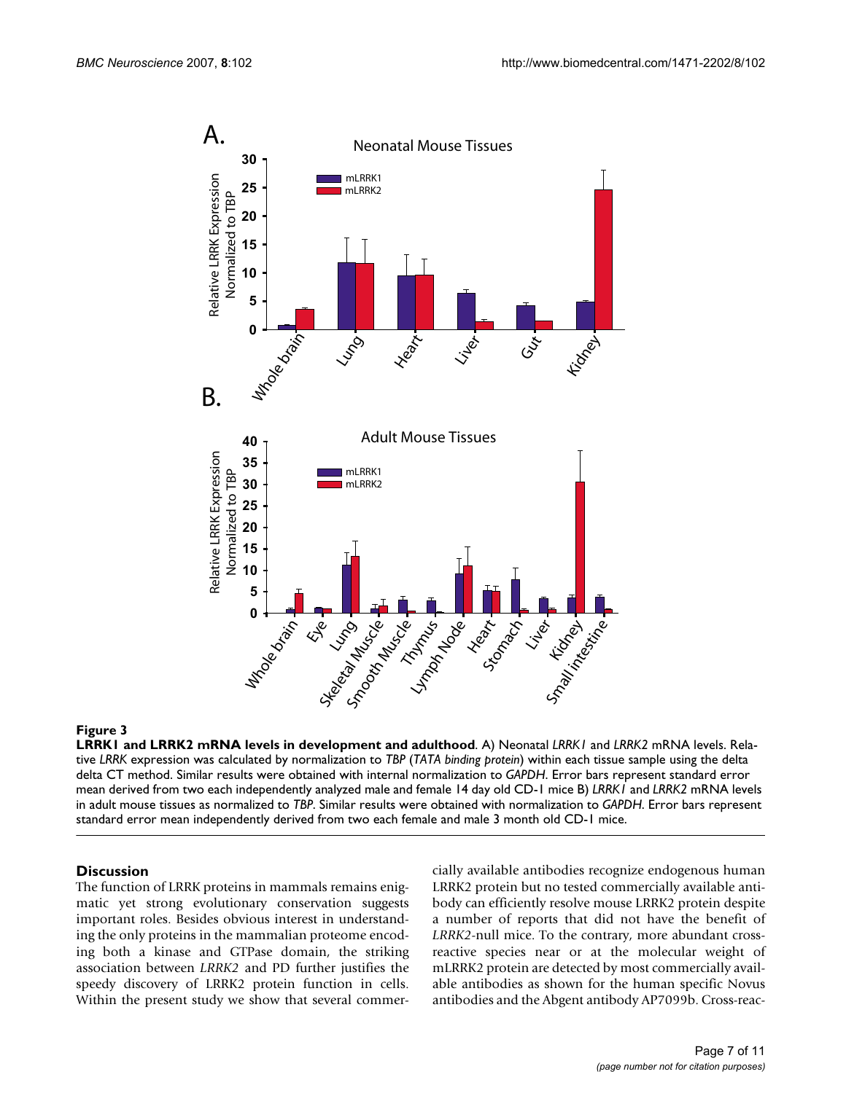

# **Figure 3**

**LRRK1 and LRRK2 mRNA levels in development and adulthood**. A) Neonatal *LRRK1* and *LRRK2* mRNA levels. Relative *LRRK* expression was calculated by normalization to *TBP* (*TATA binding protein*) within each tissue sample using the delta delta CT method. Similar results were obtained with internal normalization to *GAPDH*. Error bars represent standard error mean derived from two each independently analyzed male and female 14 day old CD-1 mice B) *LRRK1* and *LRRK2* mRNA levels in adult mouse tissues as normalized to *TBP*. Similar results were obtained with normalization to *GAPDH*. Error bars represent standard error mean independently derived from two each female and male 3 month old CD-1 mice.

### **Discussion**

The function of LRRK proteins in mammals remains enigmatic yet strong evolutionary conservation suggests important roles. Besides obvious interest in understanding the only proteins in the mammalian proteome encoding both a kinase and GTPase domain, the striking association between *LRRK2* and PD further justifies the speedy discovery of LRRK2 protein function in cells. Within the present study we show that several commercially available antibodies recognize endogenous human LRRK2 protein but no tested commercially available antibody can efficiently resolve mouse LRRK2 protein despite a number of reports that did not have the benefit of *LRRK2*-null mice. To the contrary, more abundant crossreactive species near or at the molecular weight of mLRRK2 protein are detected by most commercially available antibodies as shown for the human specific Novus antibodies and the Abgent antibody AP7099b. Cross-reac-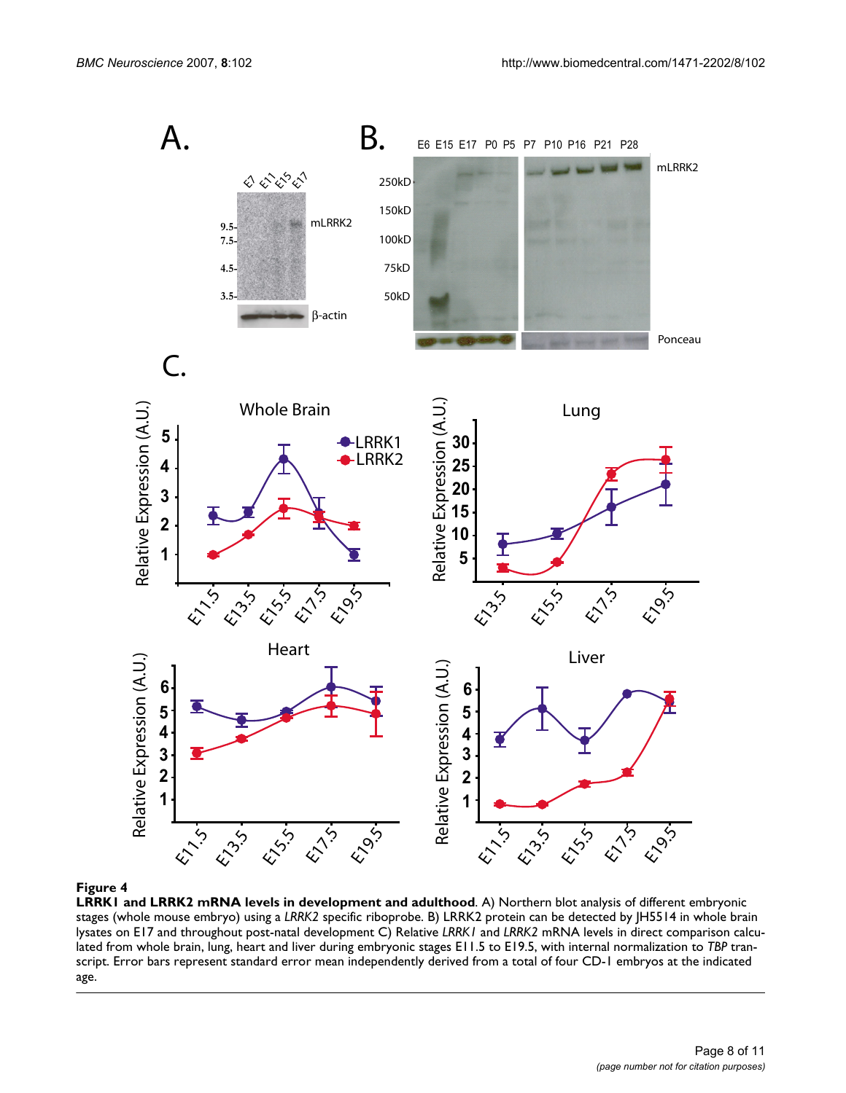

#### **Figure 4**

**LRRK1 and LRRK2 mRNA levels in development and adulthood**. A) Northern blot analysis of different embryonic stages (whole mouse embryo) using a *LRRK2* specific riboprobe. B) LRRK2 protein can be detected by JH5514 in whole brain lysates on E17 and throughout post-natal development C) Relative *LRRK1* and *LRRK2* mRNA levels in direct comparison calculated from whole brain, lung, heart and liver during embryonic stages E11.5 to E19.5, with internal normalization to *TBP* transcript. Error bars represent standard error mean independently derived from a total of four CD-1 embryos at the indicated age.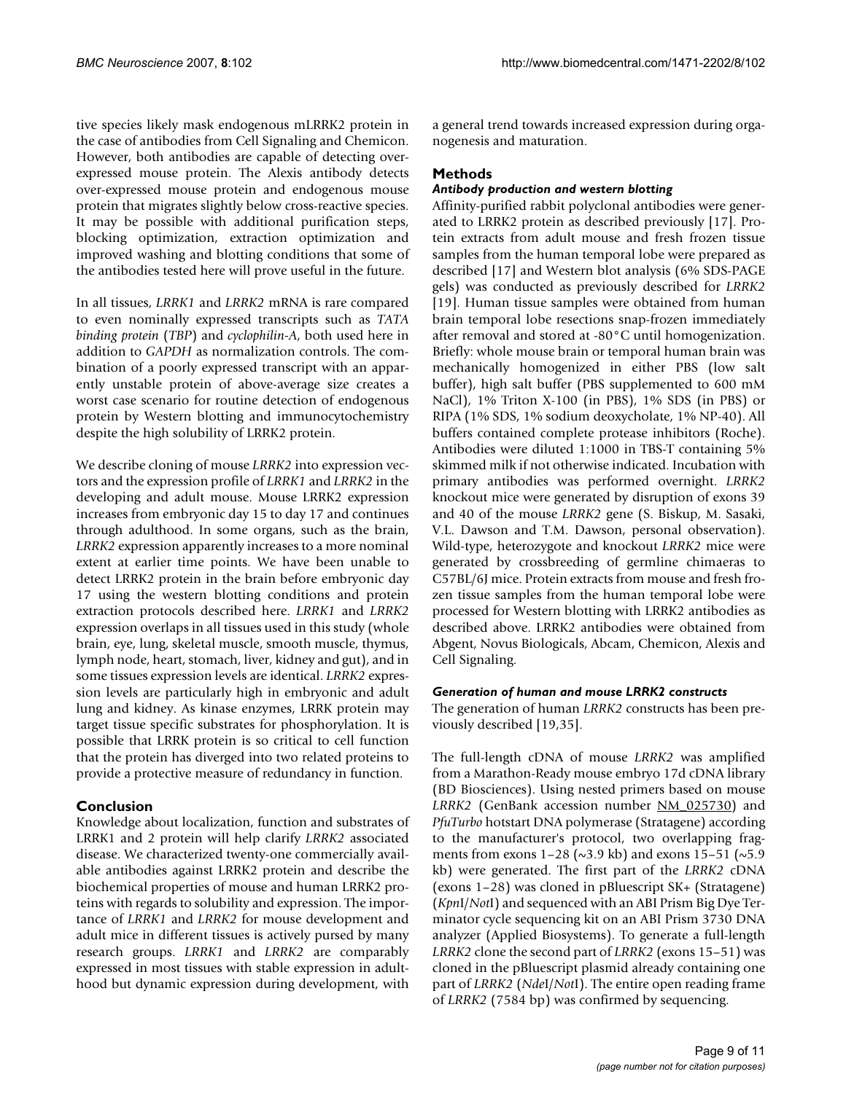tive species likely mask endogenous mLRRK2 protein in the case of antibodies from Cell Signaling and Chemicon. However, both antibodies are capable of detecting overexpressed mouse protein. The Alexis antibody detects over-expressed mouse protein and endogenous mouse protein that migrates slightly below cross-reactive species. It may be possible with additional purification steps, blocking optimization, extraction optimization and improved washing and blotting conditions that some of the antibodies tested here will prove useful in the future.

In all tissues, *LRRK1* and *LRRK2* mRNA is rare compared to even nominally expressed transcripts such as *TATA binding protein* (*TBP*) and *cyclophilin-A*, both used here in addition to *GAPDH* as normalization controls. The combination of a poorly expressed transcript with an apparently unstable protein of above-average size creates a worst case scenario for routine detection of endogenous protein by Western blotting and immunocytochemistry despite the high solubility of LRRK2 protein.

We describe cloning of mouse *LRRK2* into expression vectors and the expression profile of *LRRK1* and *LRRK2* in the developing and adult mouse. Mouse LRRK2 expression increases from embryonic day 15 to day 17 and continues through adulthood. In some organs, such as the brain, *LRRK2* expression apparently increases to a more nominal extent at earlier time points. We have been unable to detect LRRK2 protein in the brain before embryonic day 17 using the western blotting conditions and protein extraction protocols described here. *LRRK1* and *LRRK2* expression overlaps in all tissues used in this study (whole brain, eye, lung, skeletal muscle, smooth muscle, thymus, lymph node, heart, stomach, liver, kidney and gut), and in some tissues expression levels are identical. *LRRK2* expression levels are particularly high in embryonic and adult lung and kidney. As kinase enzymes, LRRK protein may target tissue specific substrates for phosphorylation. It is possible that LRRK protein is so critical to cell function that the protein has diverged into two related proteins to provide a protective measure of redundancy in function.

# **Conclusion**

Knowledge about localization, function and substrates of LRRK1 and 2 protein will help clarify *LRRK2* associated disease. We characterized twenty-one commercially available antibodies against LRRK2 protein and describe the biochemical properties of mouse and human LRRK2 proteins with regards to solubility and expression. The importance of *LRRK1* and *LRRK2* for mouse development and adult mice in different tissues is actively pursed by many research groups. *LRRK1* and *LRRK2* are comparably expressed in most tissues with stable expression in adulthood but dynamic expression during development, with

a general trend towards increased expression during organogenesis and maturation.

# **Methods**

# *Antibody production and western blotting*

Affinity-purified rabbit polyclonal antibodies were generated to LRRK2 protein as described previously [17]. Protein extracts from adult mouse and fresh frozen tissue samples from the human temporal lobe were prepared as described [17] and Western blot analysis (6% SDS-PAGE gels) was conducted as previously described for *LRRK2* [19]. Human tissue samples were obtained from human brain temporal lobe resections snap-frozen immediately after removal and stored at -80°C until homogenization. Briefly: whole mouse brain or temporal human brain was mechanically homogenized in either PBS (low salt buffer), high salt buffer (PBS supplemented to 600 mM NaCl), 1% Triton X-100 (in PBS), 1% SDS (in PBS) or RIPA (1% SDS, 1% sodium deoxycholate, 1% NP-40). All buffers contained complete protease inhibitors (Roche). Antibodies were diluted 1:1000 in TBS-T containing 5% skimmed milk if not otherwise indicated. Incubation with primary antibodies was performed overnight. *LRRK2* knockout mice were generated by disruption of exons 39 and 40 of the mouse *LRRK2* gene (S. Biskup, M. Sasaki, V.L. Dawson and T.M. Dawson, personal observation). Wild-type, heterozygote and knockout *LRRK2* mice were generated by crossbreeding of germline chimaeras to C57BL/6J mice. Protein extracts from mouse and fresh frozen tissue samples from the human temporal lobe were processed for Western blotting with LRRK2 antibodies as described above. LRRK2 antibodies were obtained from Abgent, Novus Biologicals, Abcam, Chemicon, Alexis and Cell Signaling.

### *Generation of human and mouse LRRK2 constructs*

The generation of human *LRRK2* constructs has been previously described [19,35].

The full-length cDNA of mouse *LRRK2* was amplified from a Marathon-Ready mouse embryo 17d cDNA library (BD Biosciences). Using nested primers based on mouse LRRK2 (GenBank accession number [NM\\_025730](http://www.ncbi.nih.gov/entrez/query.fcgi?db=Nucleotide&cmd=search&term=NM_025730)) and *PfuTurbo* hotstart DNA polymerase (Stratagene) according to the manufacturer's protocol, two overlapping fragments from exons 1–28 ( $\sim$ 3.9 kb) and exons 15–51 ( $\sim$ 5.9 kb) were generated. The first part of the *LRRK2* cDNA (exons 1–28) was cloned in pBluescript SK+ (Stratagene) (*Kpn*I/*Not*I) and sequenced with an ABI Prism Big Dye Terminator cycle sequencing kit on an ABI Prism 3730 DNA analyzer (Applied Biosystems). To generate a full-length *LRRK2* clone the second part of *LRRK2* (exons 15–51) was cloned in the pBluescript plasmid already containing one part of *LRRK2* (*Nde*I/*Not*I). The entire open reading frame of *LRRK2* (7584 bp) was confirmed by sequencing.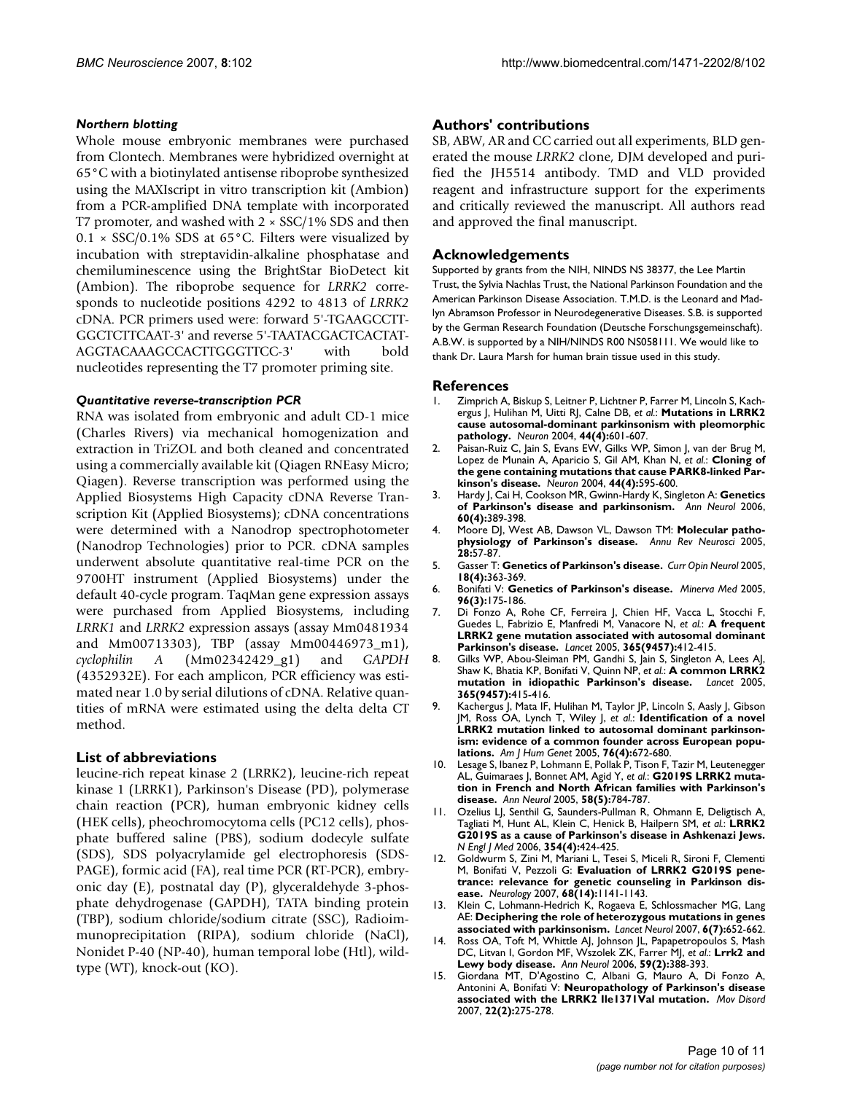## *Northern blotting*

Whole mouse embryonic membranes were purchased from Clontech. Membranes were hybridized overnight at 65°C with a biotinylated antisense riboprobe synthesized using the MAXIscript in vitro transcription kit (Ambion) from a PCR-amplified DNA template with incorporated T7 promoter, and washed with  $2 \times \text{SSC}/1\%$  SDS and then  $0.1 \times$  SSC/0.1% SDS at 65 $^{\circ}$ C. Filters were visualized by incubation with streptavidin-alkaline phosphatase and chemiluminescence using the BrightStar BioDetect kit (Ambion). The riboprobe sequence for *LRRK2* corresponds to nucleotide positions 4292 to 4813 of *LRRK2* cDNA. PCR primers used were: forward 5'-TGAAGCCTT-GGCTCTTCAAT-3' and reverse 5'-TAATACGACTCACTAT-AGGTACAAAGCCACTTGGGTTCC-3' with bold nucleotides representing the T7 promoter priming site.

## *Quantitative reverse-transcription PCR*

RNA was isolated from embryonic and adult CD-1 mice (Charles Rivers) via mechanical homogenization and extraction in TriZOL and both cleaned and concentrated using a commercially available kit (Qiagen RNEasy Micro; Qiagen). Reverse transcription was performed using the Applied Biosystems High Capacity cDNA Reverse Transcription Kit (Applied Biosystems); cDNA concentrations were determined with a Nanodrop spectrophotometer (Nanodrop Technologies) prior to PCR. cDNA samples underwent absolute quantitative real-time PCR on the 9700HT instrument (Applied Biosystems) under the default 40-cycle program. TaqMan gene expression assays were purchased from Applied Biosystems, including *LRRK1* and *LRRK2* expression assays (assay Mm0481934 and Mm00713303), TBP (assay Mm00446973\_m1), *cyclophilin A* (Mm02342429\_g1) and *GAPDH* (4352932E). For each amplicon, PCR efficiency was estimated near 1.0 by serial dilutions of cDNA. Relative quantities of mRNA were estimated using the delta delta CT method.

# **List of abbreviations**

leucine-rich repeat kinase 2 (LRRK2), leucine-rich repeat kinase 1 (LRRK1), Parkinson's Disease (PD), polymerase chain reaction (PCR), human embryonic kidney cells (HEK cells), pheochromocytoma cells (PC12 cells), phosphate buffered saline (PBS), sodium dodecyle sulfate (SDS), SDS polyacrylamide gel electrophoresis (SDS-PAGE), formic acid (FA), real time PCR (RT-PCR), embryonic day (E), postnatal day (P), glyceraldehyde 3-phosphate dehydrogenase (GAPDH), TATA binding protein (TBP), sodium chloride/sodium citrate (SSC), Radioimmunoprecipitation (RIPA), sodium chloride (NaCl), Nonidet P-40 (NP-40), human temporal lobe (Htl), wildtype (WT), knock-out (KO).

# **Authors' contributions**

SB, ABW, AR and CC carried out all experiments, BLD generated the mouse *LRRK2* clone, DJM developed and purified the JH5514 antibody. TMD and VLD provided reagent and infrastructure support for the experiments and critically reviewed the manuscript. All authors read and approved the final manuscript.

# **Acknowledgements**

Supported by grants from the NIH, NINDS NS 38377, the Lee Martin Trust, the Sylvia Nachlas Trust, the National Parkinson Foundation and the American Parkinson Disease Association. T.M.D. is the Leonard and Madlyn Abramson Professor in Neurodegenerative Diseases. S.B. is supported by the German Research Foundation (Deutsche Forschungsgemeinschaft). A.B.W. is supported by a NIH/NINDS R00 NS058111. We would like to thank Dr. Laura Marsh for human brain tissue used in this study.

#### **References**

- 1. Zimprich A, Biskup S, Leitner P, Lichtner P, Farrer M, Lincoln S, Kachergus J, Hulihan M, Uitti RJ, Calne DB, *et al.*: **[Mutations in LRRK2](http://www.ncbi.nlm.nih.gov/entrez/query.fcgi?cmd=Retrieve&db=PubMed&dopt=Abstract&list_uids=15541309) [cause autosomal-dominant parkinsonism with pleomorphic](http://www.ncbi.nlm.nih.gov/entrez/query.fcgi?cmd=Retrieve&db=PubMed&dopt=Abstract&list_uids=15541309) [pathology.](http://www.ncbi.nlm.nih.gov/entrez/query.fcgi?cmd=Retrieve&db=PubMed&dopt=Abstract&list_uids=15541309)** *Neuron* 2004, **44(4):**601-607.
- 2. Paisan-Ruiz C, Jain S, Evans EW, Gilks WP, Simon J, van der Brug M, Lopez de Munain A, Aparicio S, Gil AM, Khan N, *et al.*: **[Cloning of](http://www.ncbi.nlm.nih.gov/entrez/query.fcgi?cmd=Retrieve&db=PubMed&dopt=Abstract&list_uids=15541308) [the gene containing mutations that cause PARK8-linked Par](http://www.ncbi.nlm.nih.gov/entrez/query.fcgi?cmd=Retrieve&db=PubMed&dopt=Abstract&list_uids=15541308)[kinson's disease.](http://www.ncbi.nlm.nih.gov/entrez/query.fcgi?cmd=Retrieve&db=PubMed&dopt=Abstract&list_uids=15541308)** *Neuron* 2004, **44(4):**595-600.
- 3. Hardy J, Cai H, Cookson MR, Gwinn-Hardy K, Singleton A: **[Genetics](http://www.ncbi.nlm.nih.gov/entrez/query.fcgi?cmd=Retrieve&db=PubMed&dopt=Abstract&list_uids=17068789) [of Parkinson's disease and parkinsonism.](http://www.ncbi.nlm.nih.gov/entrez/query.fcgi?cmd=Retrieve&db=PubMed&dopt=Abstract&list_uids=17068789)** *Ann Neurol* 2006, **60(4):**389-398.
- 4. Moore DJ, West AB, Dawson VL, Dawson TM: **[Molecular patho](http://www.ncbi.nlm.nih.gov/entrez/query.fcgi?cmd=Retrieve&db=PubMed&dopt=Abstract&list_uids=16022590)[physiology of Parkinson's disease.](http://www.ncbi.nlm.nih.gov/entrez/query.fcgi?cmd=Retrieve&db=PubMed&dopt=Abstract&list_uids=16022590)** *Annu Rev Neurosci* 2005, **28:**57-87.
- 5. Gasser T: **[Genetics of Parkinson's disease.](http://www.ncbi.nlm.nih.gov/entrez/query.fcgi?cmd=Retrieve&db=PubMed&dopt=Abstract&list_uids=16003110)** *Curr Opin Neurol* 2005, **18(4):**363-369.
- 6. Bonifati V: **[Genetics of Parkinson's disease.](http://www.ncbi.nlm.nih.gov/entrez/query.fcgi?cmd=Retrieve&db=PubMed&dopt=Abstract&list_uids=16175160)** *Minerva Med* 2005, **96(3):**175-186.
- 7. Di Fonzo A, Rohe CF, Ferreira J, Chien HF, Vacca L, Stocchi F, Guedes L, Fabrizio E, Manfredi M, Vanacore N, *et al.*: **[A frequent](http://www.ncbi.nlm.nih.gov/entrez/query.fcgi?cmd=Retrieve&db=PubMed&dopt=Abstract&list_uids=15680456) [LRRK2 gene mutation associated with autosomal dominant](http://www.ncbi.nlm.nih.gov/entrez/query.fcgi?cmd=Retrieve&db=PubMed&dopt=Abstract&list_uids=15680456) [Parkinson's disease.](http://www.ncbi.nlm.nih.gov/entrez/query.fcgi?cmd=Retrieve&db=PubMed&dopt=Abstract&list_uids=15680456)** *Lancet* 2005, **365(9457):**412-415.
- 8. Gilks WP, Abou-Sleiman PM, Gandhi S, Jain S, Singleton A, Lees AJ, Shaw K, Bhatia KP, Bonifati V, Quinn NP, *et al.*: **[A common LRRK2](http://www.ncbi.nlm.nih.gov/entrez/query.fcgi?cmd=Retrieve&db=PubMed&dopt=Abstract&list_uids=15680457)** [mutation in idiopathic Parkinson's disease.](http://www.ncbi.nlm.nih.gov/entrez/query.fcgi?cmd=Retrieve&db=PubMed&dopt=Abstract&list_uids=15680457) **365(9457):**415-416.
- 9. Kachergus J, Mata IF, Hulihan M, Taylor JP, Lincoln S, Aasly J, Gibson JM, Ross OA, Lynch T, Wiley J, *et al.*: **[Identification of a novel](http://www.ncbi.nlm.nih.gov/entrez/query.fcgi?cmd=Retrieve&db=PubMed&dopt=Abstract&list_uids=15726496) [LRRK2 mutation linked to autosomal dominant parkinson](http://www.ncbi.nlm.nih.gov/entrez/query.fcgi?cmd=Retrieve&db=PubMed&dopt=Abstract&list_uids=15726496)ism: evidence of a common founder across European popu[lations.](http://www.ncbi.nlm.nih.gov/entrez/query.fcgi?cmd=Retrieve&db=PubMed&dopt=Abstract&list_uids=15726496)** *Am J Hum Genet* 2005, **76(4):**672-680.
- 10. Lesage S, Ibanez P, Lohmann E, Pollak P, Tison F, Tazir M, Leutenegger AL, Guimaraes J, Bonnet AM, Agid Y, *et al.*: **[G2019S LRRK2 muta](http://www.ncbi.nlm.nih.gov/entrez/query.fcgi?cmd=Retrieve&db=PubMed&dopt=Abstract&list_uids=16240353)[tion in French and North African families with Parkinson's](http://www.ncbi.nlm.nih.gov/entrez/query.fcgi?cmd=Retrieve&db=PubMed&dopt=Abstract&list_uids=16240353) [disease.](http://www.ncbi.nlm.nih.gov/entrez/query.fcgi?cmd=Retrieve&db=PubMed&dopt=Abstract&list_uids=16240353)** *Ann Neurol* 2005, **58(5):**784-787.
- 11. Ozelius LJ, Senthil G, Saunders-Pullman R, Ohmann E, Deligtisch A, Tagliati M, Hunt AL, Klein C, Henick B, Hailpern SM, *et al.*: **[LRRK2](http://www.ncbi.nlm.nih.gov/entrez/query.fcgi?cmd=Retrieve&db=PubMed&dopt=Abstract&list_uids=16436782) [G2019S as a cause of Parkinson's disease in Ashkenazi Jews.](http://www.ncbi.nlm.nih.gov/entrez/query.fcgi?cmd=Retrieve&db=PubMed&dopt=Abstract&list_uids=16436782)** *N Engl J Med* 2006, **354(4):**424-425.
- 12. Goldwurm S, Zini M, Mariani L, Tesei S, Miceli R, Sironi F, Clementi M, Bonifati V, Pezzoli G: **[Evaluation of LRRK2 G2019S pene](http://www.ncbi.nlm.nih.gov/entrez/query.fcgi?cmd=Retrieve&db=PubMed&dopt=Abstract&list_uids=17215492)[trance: relevance for genetic counseling in Parkinson dis](http://www.ncbi.nlm.nih.gov/entrez/query.fcgi?cmd=Retrieve&db=PubMed&dopt=Abstract&list_uids=17215492)[ease.](http://www.ncbi.nlm.nih.gov/entrez/query.fcgi?cmd=Retrieve&db=PubMed&dopt=Abstract&list_uids=17215492)** *Neurology* 2007, **68(14):**1141-1143.
- 13. Klein C, Lohmann-Hedrich K, Rogaeva E, Schlossmacher MG, Lang AE: **[Deciphering the role of heterozygous mutations in genes](http://www.ncbi.nlm.nih.gov/entrez/query.fcgi?cmd=Retrieve&db=PubMed&dopt=Abstract&list_uids=17582365) [associated with parkinsonism.](http://www.ncbi.nlm.nih.gov/entrez/query.fcgi?cmd=Retrieve&db=PubMed&dopt=Abstract&list_uids=17582365)** *Lancet Neurol* 2007, **6(7):**652-662.
- 14. Ross OA, Toft M, Whittle AJ, Johnson JL, Papapetropoulos S, Mash DC, Litvan I, Gordon MF, Wszolek ZK, Farrer MJ, *et al.*: **[Lrrk2 and](http://www.ncbi.nlm.nih.gov/entrez/query.fcgi?cmd=Retrieve&db=PubMed&dopt=Abstract&list_uids=16437559) [Lewy body disease.](http://www.ncbi.nlm.nih.gov/entrez/query.fcgi?cmd=Retrieve&db=PubMed&dopt=Abstract&list_uids=16437559)** *Ann Neurol* 2006, **59(2):**388-393.
- 15. Giordana MT, D'Agostino C, Albani G, Mauro A, Di Fonzo A, Antonini A, Bonifati V: **[Neuropathology of Parkinson's disease](http://www.ncbi.nlm.nih.gov/entrez/query.fcgi?cmd=Retrieve&db=PubMed&dopt=Abstract&list_uids=17149743) [associated with the LRRK2 Ile1371Val mutation.](http://www.ncbi.nlm.nih.gov/entrez/query.fcgi?cmd=Retrieve&db=PubMed&dopt=Abstract&list_uids=17149743)** *Mov Disord* 2007, **22(2):**275-278.